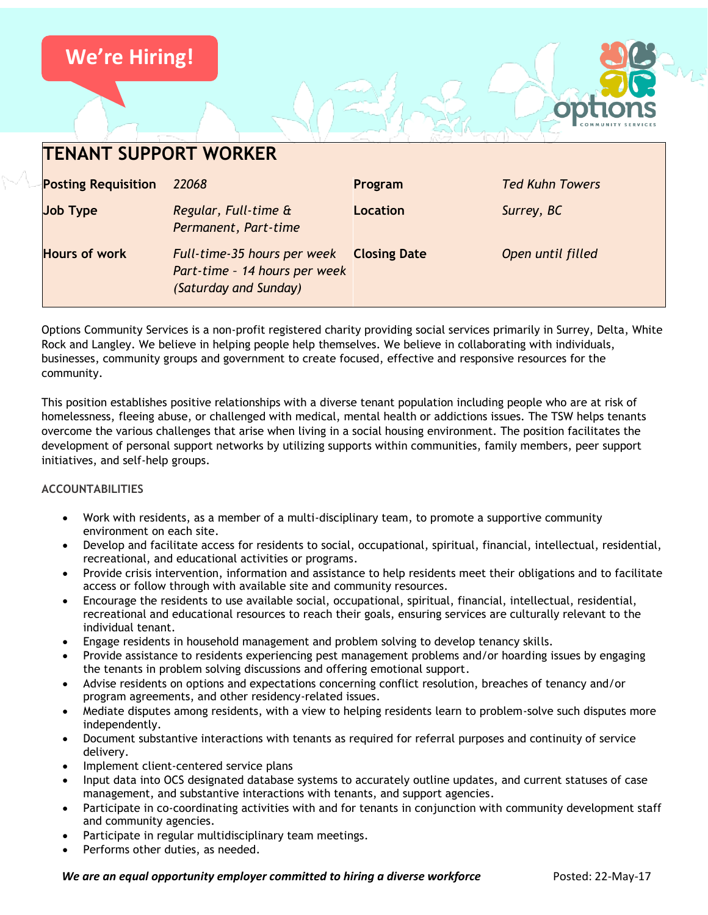

| <b>TENANT SUPPORT WORKER</b> |                                                                                       |                     |                        |
|------------------------------|---------------------------------------------------------------------------------------|---------------------|------------------------|
| <b>Posting Requisition</b>   | 22068                                                                                 | Program             | <b>Ted Kuhn Towers</b> |
| <b>Job Type</b>              | Regular, Full-time &<br>Permanent, Part-time                                          | Location            | Surrey, BC             |
| <b>Hours of work</b>         | Full-time-35 hours per week<br>Part-time - 14 hours per week<br>(Saturday and Sunday) | <b>Closing Date</b> | Open until filled      |

Options Community Services is a non-profit registered charity providing social services primarily in Surrey, Delta, White Rock and Langley. We believe in helping people help themselves. We believe in collaborating with individuals, businesses, community groups and government to create focused, effective and responsive resources for the community.

This position establishes positive relationships with a diverse tenant population including people who are at risk of homelessness, fleeing abuse, or challenged with medical, mental health or addictions issues. The TSW helps tenants overcome the various challenges that arise when living in a social housing environment. The position facilitates the development of personal support networks by utilizing supports within communities, family members, peer support initiatives, and self-help groups.

# **ACCOUNTABILITIES**

- Work with residents, as a member of a multi-disciplinary team, to promote a supportive community environment on each site.
- Develop and facilitate access for residents to social, occupational, spiritual, financial, intellectual, residential, recreational, and educational activities or programs.
- Provide crisis intervention, information and assistance to help residents meet their obligations and to facilitate access or follow through with available site and community resources.
- Encourage the residents to use available social, occupational, spiritual, financial, intellectual, residential, recreational and educational resources to reach their goals, ensuring services are culturally relevant to the individual tenant.
- Engage residents in household management and problem solving to develop tenancy skills.
- Provide assistance to residents experiencing pest management problems and/or hoarding issues by engaging the tenants in problem solving discussions and offering emotional support.
- Advise residents on options and expectations concerning conflict resolution, breaches of tenancy and/or program agreements, and other residency-related issues.
- Mediate disputes among residents, with a view to helping residents learn to problem-solve such disputes more independently.
- Document substantive interactions with tenants as required for referral purposes and continuity of service delivery.
- Implement client-centered service plans
- Input data into OCS designated database systems to accurately outline updates, and current statuses of case management, and substantive interactions with tenants, and support agencies.
- Participate in co-coordinating activities with and for tenants in conjunction with community development staff and community agencies.
- Participate in regular multidisciplinary team meetings.
- Performs other duties, as needed.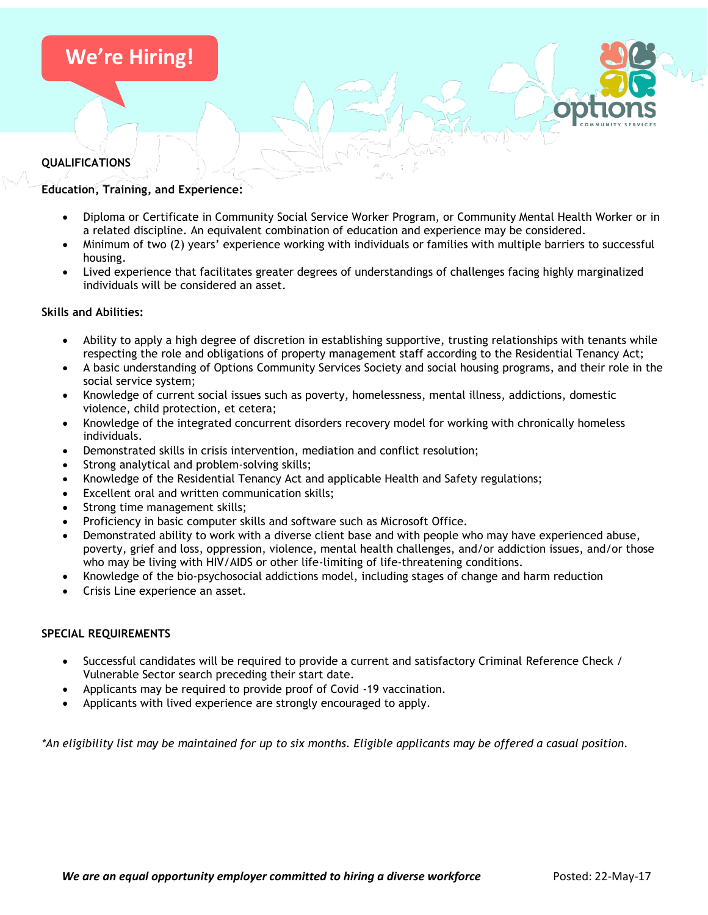# **We're Hiring!**

## **QUALIFICATIONS**

## **Education, Training, and Experience:**

- Diploma or Certificate in Community Social Service Worker Program, or Community Mental Health Worker or in a related discipline. An equivalent combination of education and experience may be considered.
- Minimum of two (2) years' experience working with individuals or families with multiple barriers to successful housing.
- Lived experience that facilitates greater degrees of understandings of challenges facing highly marginalized individuals will be considered an asset.

### **Skills and Abilities:**

- Ability to apply a high degree of discretion in establishing supportive, trusting relationships with tenants while respecting the role and obligations of property management staff according to the Residential Tenancy Act;
- A basic understanding of Options Community Services Society and social housing programs, and their role in the social service system;
- Knowledge of current social issues such as poverty, homelessness, mental illness, addictions, domestic violence, child protection, et cetera;
- Knowledge of the integrated concurrent disorders recovery model for working with chronically homeless individuals.
- Demonstrated skills in crisis intervention, mediation and conflict resolution;
- Strong analytical and problem-solving skills;
- Knowledge of the Residential Tenancy Act and applicable Health and Safety regulations;
- Excellent oral and written communication skills;
- Strong time management skills;
- Proficiency in basic computer skills and software such as Microsoft Office.
- Demonstrated ability to work with a diverse client base and with people who may have experienced abuse, poverty, grief and loss, oppression, violence, mental health challenges, and/or addiction issues, and/or those who may be living with HIV/AIDS or other life-limiting of life-threatening conditions.
- Knowledge of the bio-psychosocial addictions model, including stages of change and harm reduction
- Crisis Line experience an asset.

### **SPECIAL REQUIREMENTS**

- Successful candidates will be required to provide a current and satisfactory Criminal Reference Check / Vulnerable Sector search preceding their start date.
- Applicants may be required to provide proof of Covid -19 vaccination.
- Applicants with lived experience are strongly encouraged to apply.

*\*An eligibility list may be maintained for up to six months. Eligible applicants may be offered a casual position.*